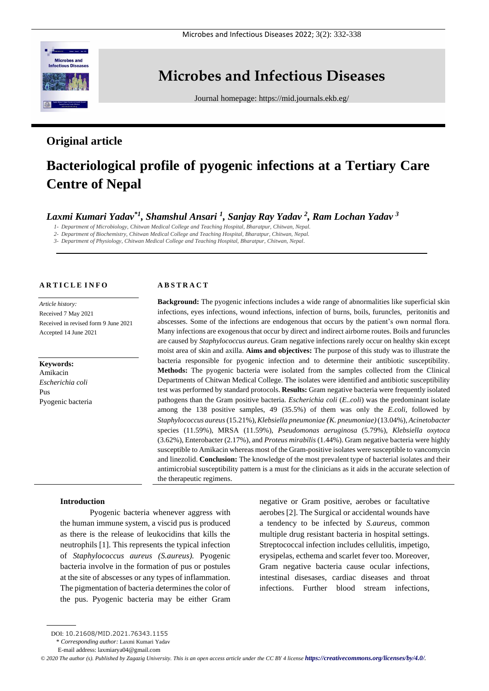

# **Microbes and Infectious Diseases**

Journal homepage:<https://mid.journals.ekb.eg/>

# **Original article**

# **Bacteriological profile of pyogenic infections at a Tertiary Care Centre of Nepal**

# *Laxmi Kumari Yadav\*1, Shamshul Ansari <sup>1</sup> , Sanjay Ray Yadav <sup>2</sup> , Ram Lochan Yadav <sup>3</sup>*

*1- Department of Microbiology, Chitwan Medical College and Teaching Hospital, Bharatpur, Chitwan, Nepal.*

*2- Department of Biochemistry, Chitwan Medical College and Teaching Hospital, Bharatpur, Chitwan, Nepal.*

*3- Department of Physiology, Chitwan Medical College and Teaching Hospital, Bharatpur, Chitwan, Nepal.*

# **A R T I C L E I N F O**

*Article history:*  Received 7 May 2021 Received in revised form 9 June 2021 Accepted 14 June 2021

**Keywords:** Amikacin *Escherichia coli* Pus Pyogenic bacteria

#### **A B S T R A C T**

**Background:** The pyogenic infections includes a wide range of abnormalities like superficial skin infections, eyes infections, wound infections, infection of burns, boils, furuncles, peritonitis and abscesses. Some of the infections are endogenous that occurs by the patient's own normal flora. Many infections are exogenous that occur by direct and indirect airborne routes. Boils and furuncles are caused by *Staphylococcus aureus.* Gram negative infections rarely occur on healthy skin except moist area of skin and axilla. **Aims and objectives:** The purpose of this study was to illustrate the bacteria responsible for pyogenic infection and to determine their antibiotic susceptibility. **Methods:** The pyogenic bacteria were isolated from the samples collected from the Clinical Departments of Chitwan Medical College. The isolates were identified and antibiotic susceptibility test was performed by standard protocols. **Results:** Gram negative bacteria were frequently isolated pathogens than the Gram positive bacteria. *Escherichia coli* (*E..coli*) was the predominant isolate among the 138 positive samples, 49 (35.5%) of them was only the *E.coli*, followed by *Staphylococcus aureus*(15.21%), *Klebsiella pneumoniae (K. pneumoniae)*(13.04%), *Acinetobacter* species (11.59%), MRSA (11.59%), *Pseudomonas aeruginosa* (5.79%), *Klebsiella oxytoca* (3.62%), Enterobacter (2.17%), and *Proteus mirabilis* (1.44%). Gram negative bacteria were highly susceptible to Amikacin whereas most of the Gram-positive isolates were susceptible to vancomycin and linezolid. **Conclusion:** The knowledge of the most prevalent type of bacterial isolates and their antimicrobial susceptibility pattern is a must for the clinicians as it aids in the accurate selection of the therapeutic regimens.

#### **Introduction**

Pyogenic bacteria whenever aggress with the human immune system, a viscid pus is produced as there is the release of leukocidins that kills the neutrophils [1]. This represents the typical infection of *Staphylococcus aureus (S.aureus).* Pyogenic bacteria involve in the formation of pus or postules at the site of abscesses or any types of inflammation. The pigmentation of bacteria determines the color of the pus. Pyogenic bacteria may be either Gram

negative or Gram positive, aerobes or facultative aerobes [2]. The Surgical or accidental wounds have a tendency to be infected by *S.aureus*, common multiple drug resistant bacteria in hospital settings. Streptococcal infection includes cellulitis, impetigo, erysipelas, ecthema and scarlet fever too. Moreover, Gram negative bacteria cause ocular infections, intestinal disesases, cardiac diseases and throat infections. Further blood stream infections,

\* *Corresponding author:* Laxmi Kumari Yadav

DOI: 10.21608/MID.2021.76343.1155

E-mail address: [laxmiarya04@gmail.com](mailto:laxmiarya04@gmail.com)

*<sup>©</sup> 2020 The author (s). Published by Zagazig University. This is an open access article under the CC BY 4 license <https://creativecommons.org/licenses/by/4.0/>.*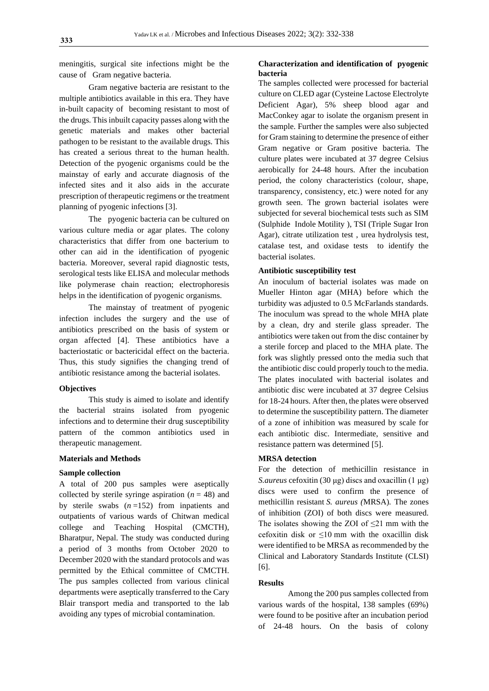meningitis, surgical site infections might be the cause of Gram negative bacteria.

Gram negative bacteria are resistant to the multiple antibiotics available in this era. They have in-built capacity of becoming resistant to most of the drugs. This inbuilt capacity passes along with the genetic materials and makes other bacterial pathogen to be resistant to the available drugs. This has created a serious threat to the human health. Detection of the pyogenic organisms could be the mainstay of early and accurate diagnosis of the infected sites and it also aids in the accurate prescription of therapeutic regimens or the treatment planning of pyogenic infections [3].

The pyogenic bacteria can be cultured on various culture media or agar plates. The colony characteristics that differ from one bacterium to other can aid in the identification of pyogenic bacteria. Moreover, several rapid diagnostic tests, serological tests like ELISA and molecular methods like polymerase chain reaction; electrophoresis helps in the identification of pyogenic organisms.

The mainstay of treatment of pyogenic infection includes the surgery and the use of antibiotics prescribed on the basis of system or organ affected [4]. These antibiotics have a bacteriostatic or bactericidal effect on the bacteria. Thus, this study signifies the changing trend of antibiotic resistance among the bacterial isolates.

#### **Objectives**

This study is aimed to isolate and identify the bacterial strains isolated from pyogenic infections and to determine their drug susceptibility pattern of the common antibiotics used in therapeutic management.

# **Materials and Methods**

# **Sample collection**

A total of 200 pus samples were aseptically collected by sterile syringe aspiration  $(n = 48)$  and by sterile swabs (*n* =152) from inpatients and outpatients of various wards of Chitwan medical college and Teaching Hospital (CMCTH), Bharatpur, Nepal. The study was conducted during a period of 3 months from October 2020 to December 2020 with the standard protocols and was permitted by the Ethical committee of CMCTH. The pus samples collected from various clinical departments were aseptically transferred to the Cary Blair transport media and transported to the lab avoiding any types of microbial contamination.

# **Characterization and identification of pyogenic bacteria**

The samples collected were processed for bacterial culture on CLED agar (Cysteine Lactose Electrolyte Deficient Agar), 5% sheep blood agar and MacConkey agar to isolate the organism present in the sample. Further the samples were also subjected for Gram staining to determine the presence of either Gram negative or Gram positive bacteria. The culture plates were incubated at 37 degree Celsius aerobically for 24-48 hours. After the incubation period, the colony characteristics (colour, shape, transparency, consistency, etc.) were noted for any growth seen. The grown bacterial isolates were subjected for several biochemical tests such as SIM (Sulphide Indole Motility ), TSI (Triple Sugar Iron Agar), citrate utilization test , urea hydrolysis test, catalase test, and oxidase tests to identify the bacterial isolates.

#### **Antibiotic susceptibility test**

An inoculum of bacterial isolates was made on Mueller Hinton agar (MHA) before which the turbidity was adjusted to 0.5 McFarlands standards. The inoculum was spread to the whole MHA plate by a clean, dry and sterile glass spreader. The antibiotics were taken out from the disc container by a sterile forcep and placed to the MHA plate. The fork was slightly pressed onto the media such that the antibiotic disc could properly touch to the media. The plates inoculated with bacterial isolates and antibiotic disc were incubated at 37 degree Celsius for 18-24 hours. After then, the plates were observed to determine the susceptibility pattern. The diameter of a zone of inhibition was measured by scale for each antibiotic disc. Intermediate, sensitive and resistance pattern was determined [5].

#### **MRSA detection**

For the detection of methicillin resistance in *S.aureus* cefoxitin (30 μg) discs and oxacillin (1 μg) discs were used to confirm the presence of methicillin resistant *S. aureus (*MRSA)*.* The zones of inhibition (ZOI) of both discs were measured. The isolates showing the ZOI of  $\leq$ 21 mm with the cefoxitin disk or  $\leq 10$  mm with the oxacillin disk were identified to be MRSA as recommended by the Clinical and Laboratory Standards Institute (CLSI) [6].

#### **Results**

Among the 200 pus samples collected from various wards of the hospital, 138 samples (69%) were found to be positive after an incubation period of 24-48 hours. On the basis of colony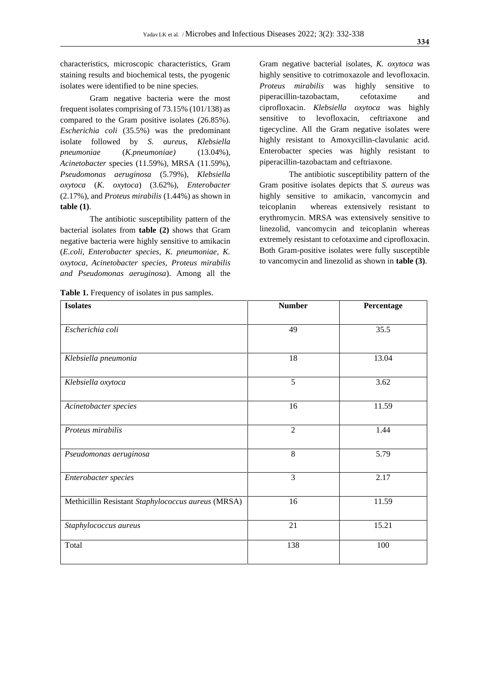characteristics, microscopic characteristics, Gram staining results and biochemical tests, the pyogenic isolates were identified to be nine species.

Gram negative bacteria were the most frequent isolates comprising of 73.15% (101/138) as compared to the Gram positive isolates (26.85%). *Escherichia coli* (35.5%) was the predominant isolate followed by *S. aureus*, *Klebsiella pneumoniae* (*K.pneumoniae)* (13.04%), *Acinetobacter* species (11.59%), MRSA (11.59%), *Pseudomonas aeruginosa* (5.79%), *Klebsiella oxytoca* (*K. oxytoca*) (3.62%), *Enterobacter*  (2.17%), and *Proteus mirabilis* (1.44%) as shown in **table (1)**.

The antibiotic susceptibility pattern of the bacterial isolates from **table (2)** shows that Gram negative bacteria were highly sensitive to amikacin (*E.coli, Enterobacter species, K. pneumoniae, K. oxytoca, Acinetobacter species, Proteus mirabilis and Pseudomonas aeruginosa*). Among all the

Table 1. Frequency of isolates in pus samples.

Gram negative bacterial isolates, *K. oxytoca* was highly sensitive to cotrimoxazole and levofloxacin. *Proteus mirabilis* was highly sensitive to piperacillin-tazobactam, cefotaxime and ciprofloxacin. *Klebsiella oxytoca* was highly sensitive to levofloxacin, ceftriaxone and tigecycline. All the Gram negative isolates were highly resistant to Amoxycillin-clavulanic acid. Enterobacter species was highly resistant to piperacillin-tazobactam and ceftriaxone.

The antibiotic susceptibility pattern of the Gram positive isolates depicts that *S. aureus* was highly sensitive to amikacin, vancomycin and teicoplanin whereas extensively resistant to erythromycin. MRSA was extensively sensitive to linezolid, vancomycin and teicoplanin whereas extremely resistant to cefotaxime and ciprofloxacin. Both Gram-positive isolates were fully susceptible to vancomycin and linezolid as shown in **table (3)**.

| <b>Isolates</b>                                    | <b>Number</b>  | Percentage |
|----------------------------------------------------|----------------|------------|
| Escherichia coli                                   | 49             | 35.5       |
| Klebsiella pneumonia                               | 18             | 13.04      |
| Klebsiella oxytoca                                 | 5              | 3.62       |
| Acinetobacter species                              | 16             | 11.59      |
| Proteus mirabilis                                  | $\overline{2}$ | 1.44       |
| Pseudomonas aeruginosa                             | 8              | 5.79       |
| Enterobacter species                               | 3              | 2.17       |
| Methicillin Resistant Staphylococcus aureus (MRSA) | 16             | 11.59      |
| Staphylococcus aureus                              | 21             | 15.21      |
| Total                                              | 138            | 100        |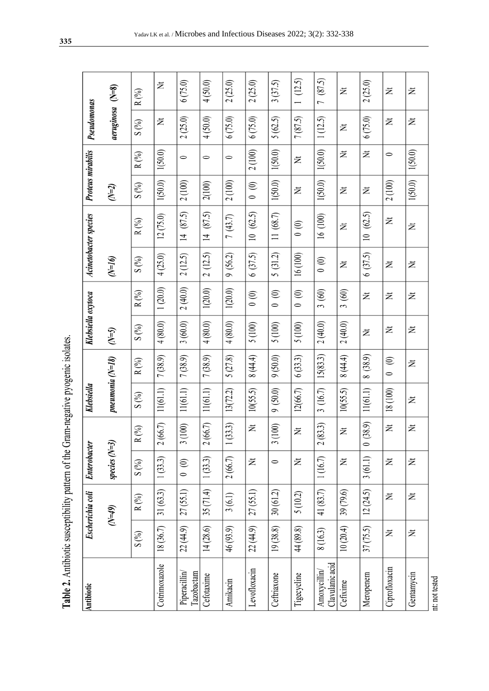| יונישם ו טוע                                                                                                                                                                                                                                                                                                        |
|---------------------------------------------------------------------------------------------------------------------------------------------------------------------------------------------------------------------------------------------------------------------------------------------------------------------|
| Antihiotic suscentibility nation of the Liram peoplyce nyonenic isolate<br>in the company of the company of the company of the company of the company of the company of the company of the company of the company of the company of the company of the company of the company of the company of the compa<br>J<br>l |
| warn yn ma                                                                                                                                                                                                                                                                                                          |
| ŧ<br>ı                                                                                                                                                                                                                                                                                                              |
| `                                                                                                                                                                                                                                                                                                                   |
| <b>Lable 4. Allubi</b><br>j<br>$T_{\rm c}$ .                                                                                                                                                                                                                                                                        |

| Antibiotic                     |           | <b>Escherichia coli</b> | <b>Enterobacter</b> |                                    | Klebsiella       |                            | Klebsiella oxytoca |                                |                    | Acinetobacter species    | Proteus mirabilis |           | Pseudomonas        |           |
|--------------------------------|-----------|-------------------------|---------------------|------------------------------------|------------------|----------------------------|--------------------|--------------------------------|--------------------|--------------------------|-------------------|-----------|--------------------|-----------|
|                                |           | $(6f=N)$                | species $(N=3)$     |                                    | pneumonia (N=18) |                            | $(N=5)$            |                                | $\mathcal{O}$ f=N) |                          | $(N=2)$           |           | $aeruginosa$ (N=8) |           |
|                                | S(%)      | $R$ $\binom{0}{0}$      | S(%)                | $R\ (\%)$                          | S(%)             | $R\ (\%)$                  | S(%)               | $R(\%)$                        | $S(%)$             | $R\ (\%)$                | $S(\%)$           | $R\,(\%)$ | $S(\%)$            | $R\ (\%)$ |
| Cotrimoxazole                  | 18 (36.7) | 31(63.3)                | 1(33.3)             | (66.7)<br>$\widetilde{\sim}$       | 11(61.1)         | 7(38.9)                    | 4(80.0)            | 1(20.0)                        | 4(25.0)            | 12(75.0)                 | 1(50.0)           | 1(50.0)   | Ż                  | 艺         |
| Piperacillin<br>Tazobactam     | 22(44.9)  | 27(55.1)                | $\circ$ 0           | (100)<br>$\tilde{\phantom{0}}$     | 11(61.1)         | 7(38.9)                    | 3(60.0)            | 2(40.0)                        | 2(12.5)            | (87.5)<br>$\overline{4}$ | 2(100)            | $\circ$   | 2(25.0)            | 6(75.0)   |
| Cefotaxime                     | 14 (28.6) | 35(71.4)                | 1(33.3)             | (66.7)<br>$\widetilde{\Omega}$     | 11(61.1)         | 7(38.9)                    | 4(80.0)            | 1(20.0)                        | 2(12.5)            | 14(87.5)                 | 2(100)            | $\bullet$ | 4(50.0)            | 4(50.0)   |
| Amikacin                       | 46 (93.9) | 3(6.1)                  | 2(66.7)             | (33.3)<br>$\overline{\phantom{0}}$ | 13(72.2)         | 5(27.8)                    | 4(80.0)            | 1(20.0)                        | 9(56.2)            | 7(43.7)                  | 2(100)            | $\bullet$ | 6(75.0)            | 2(25.0)   |
| Levofloxacin                   | 22 (44.9) | 27(55.1)                | 艺                   | Ż                                  | 10(55.5)         | 8 (44.4)                   | 5 (100)            | (0)                            | 6(37.5)            | 10(62.5)                 | $\circ$ 0         | 2(100)    | 6(75.0)            | 2(25.0)   |
| Ceftriaxone                    | 19(38.8)  | 30(61.2)                | $\bullet$           | (100)<br>3                         | 9(50.0)          | 9(50.0)                    | 5(100)             | $\odot$<br>$\bullet$           | 5(31.2)            | 11 (68.7)                | 1(50.0)           | 1(50.0)   | 5(62.5)            | 3(37.5)   |
| Tigecycline                    | 44 (89.8) | 5(10.2)                 | 艺                   | Ż                                  | 12(66.7)         | 6(33.3)                    | 5 (100)            | $\odot$<br>$\circ$             | 16 (100)           | $\circ$ (0)              | ž                 | 艺         | 7(87.5)            | (12.5)    |
| Clavulanic acid<br>Amoxycillin | 8 (16.3)  | 41 (83.7)               | 1(16.7)             | (83.3)<br>$\widetilde{\Omega}$     | 3(16.7)          | 15(83.3)                   | 2(40.0)            | 3(60)                          | (0, 0)             | 16 (100)                 | 1(50.0)           | 1(50.0)   | 1(12.5)            | 7(87.5)   |
| Cefixime                       | 10(20.4)  | 39 (79.6)               | 艺                   | Ż                                  | 10(55.5)         | 8 (44.4)                   | 2(40.0)            | (60)<br>$\tilde{\mathfrak{c}}$ | 艺                  | 艺                        | Ż                 | 艺         | Ż                  | Ż         |
| Meropenem                      | 37(75.5)  | 12(24.5)                | 3(61.1)             | (38.9)<br>$\circ$                  | 11(61.1)         | 8 (38.9)                   | Ż                  | ž                              | 6(37.5)            | 10(62.5)                 | Ż                 | Ż         | 6(75.0)            | 2(25.0)   |
| Ciprofloxacin                  | Ż         | Ż                       | 艺                   | Ż                                  | 18 (100)         | $\widehat{\in}$<br>$\circ$ | Ż                  | ž                              | 艺                  | Ż                        | 2(100)            | $\bullet$ | Ż                  | Ż         |
| Gentamycin                     | Ż         | Ż                       | 艺                   | Ż                                  | Ż                | ž                          | Ż                  | Ż                              | Ż                  | Ż                        | 1(50.0)           | 1(50.0)   | Ż                  | Ż         |
| nt: not tested                 |           |                         |                     |                                    |                  |                            |                    |                                |                    |                          |                   |           |                    |           |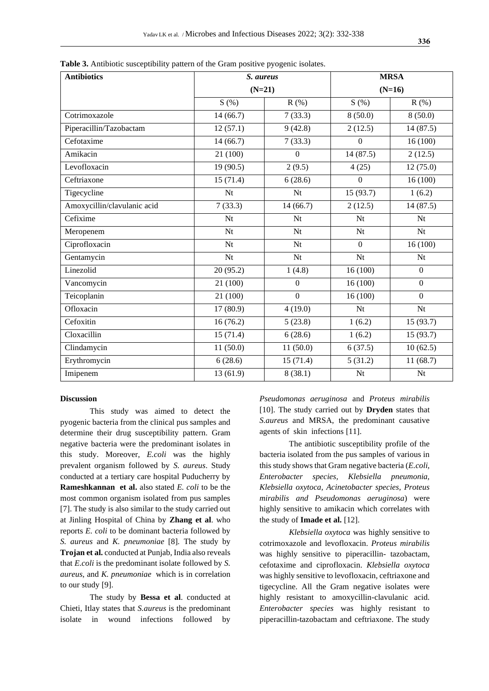| <b>Antibiotics</b>          | S. aureus<br>$(N=21)$ |                  | <b>MRSA</b><br>$(N=16)$ |                  |
|-----------------------------|-----------------------|------------------|-------------------------|------------------|
|                             |                       |                  |                         |                  |
|                             | S(%)                  | R(% )            | S(%)                    | R(% )            |
| Cotrimoxazole               | 14(66.7)              | 7(33.3)          | 8(50.0)                 | 8(50.0)          |
| Piperacillin/Tazobactam     | 12(57.1)              | 9(42.8)          | 2(12.5)                 | 14(87.5)         |
| Cefotaxime                  | 14(66.7)              | 7(33.3)          | $\theta$                | 16(100)          |
| Amikacin                    | 21 (100)              | $\boldsymbol{0}$ | 14(87.5)                | 2(12.5)          |
| Levofloxacin                | 19(90.5)              | 2(9.5)           | 4(25)                   | 12(75.0)         |
| Ceftriaxone                 | 15(71.4)              | 6(28.6)          | $\mathbf{0}$            | 16(100)          |
| Tigecycline                 | Nt                    | Nt               | 15 (93.7)               | 1(6.2)           |
| Amoxycillin/clavulanic acid | 7(33.3)               | 14(66.7)         | 2(12.5)                 | 14(87.5)         |
| Cefixime                    | Nt                    | Nt               | Nt                      | Nt               |
| Meropenem                   | Nt                    | Nt               | Nt                      | Nt               |
| Ciprofloxacin               | Nt                    | Nt               | $\overline{0}$          | 16(100)          |
| Gentamycin                  | Nt                    | Nt               | Nt                      | Nt               |
| Linezolid                   | 20(95.2)              | 1(4.8)           | 16(100)                 | $\overline{0}$   |
| Vancomycin                  | 21 (100)              | $\mathbf{0}$     | 16(100)                 | $\boldsymbol{0}$ |
| Teicoplanin                 | 21 (100)              | $\overline{0}$   | 16(100)                 | $\overline{0}$   |
| Ofloxacin                   | 17(80.9)              | 4(19.0)          | Nt                      | Nt               |
| Cefoxitin                   | 16(76.2)              | 5(23.8)          | 1(6.2)                  | 15(93.7)         |
| Cloxacillin                 | 15(71.4)              | 6(28.6)          | 1(6.2)                  | 15(93.7)         |
| Clindamycin                 | 11(50.0)              | 11(50.0)         | 6(37.5)                 | 10(62.5)         |
| Erythromycin                | 6(28.6)               | 15(71.4)         | 5(31.2)                 | 11(68.7)         |
| Imipenem                    | 13(61.9)              | 8(38.1)          | Nt                      | Nt               |

**Table 3.** Antibiotic susceptibility pattern of the Gram positive pyogenic isolates.

### **Discussion**

This study was aimed to detect the pyogenic bacteria from the clinical pus samples and determine their drug susceptibility pattern. Gram negative bacteria were the predominant isolates in this study. Moreover, *E.coli* was the highly prevalent organism followed by *S. aureus*. Study conducted at a tertiary care hospital Puducherry by **Rameshkannan et al.** also stated *E. coli* to be the most common organism isolated from pus samples [7]. The study is also similar to the study carried out at Jinling Hospital of China by **Zhang et al**. who reports *E. coli* to be dominant bacteria followed by *S. aureus* and *K. pneumoniae* [8]*.* The study by **Trojan et al.** conducted at Punjab, India also reveals that *E.coli* is the predominant isolate followed by *S. aureus*, and *K. pneumoniae* which is in correlation to our study [9].

The study by **Bessa et al**. conducted at Chieti, Itlay states that *S.aureus* is the predominant isolate in wound infections followed by *Pseudomonas aeruginosa* and *Proteus mirabilis* [10]. The study carried out by **Dryden** states that *S.aureus* and MRSA, the predominant causative agents of skin infections [11].

The antibiotic susceptibility profile of the bacteria isolated from the pus samples of various in this study shows that Gram negative bacteria (*E.coli, Enterobacter species, Klebsiella pneumonia, Klebsiella oxytoca, Acinetobacter species, Proteus mirabilis and Pseudomonas aeruginosa*) were highly sensitive to amikacin which correlates with the study of **Imade et al.** [12].

*Klebsiella oxytoca* was highly sensitive to cotrimoxazole and levofloxacin. *Proteus mirabilis* was highly sensitive to piperacillin- tazobactam, cefotaxime and ciprofloxacin. *Klebsiella oxytoca* was highly sensitive to levofloxacin, ceftriaxone and tigecycline. All the Gram negative isolates were highly resistant to amoxycillin-clavulanic acid. *Enterobacter species* was highly resistant to piperacillin-tazobactam and ceftriaxone. The study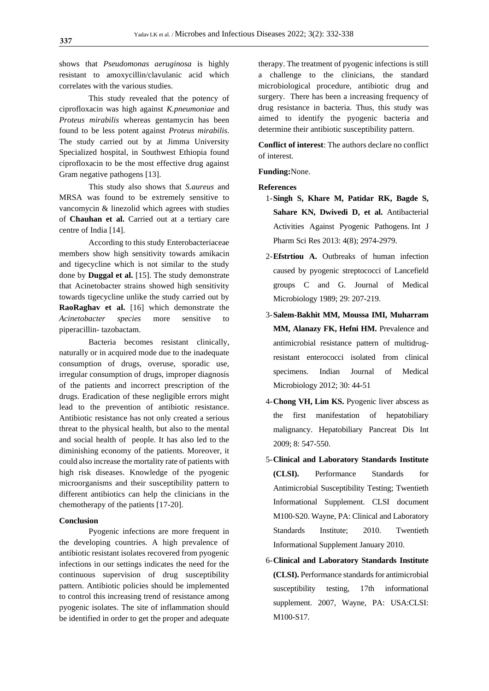shows that *Pseudomonas aeruginosa* is highly resistant to amoxycillin/clavulanic acid which correlates with the various studies.

This study revealed that the potency of ciprofloxacin was high against *K.pneumoniae* and *Proteus mirabilis* whereas gentamycin has been found to be less potent against *Proteus mirabilis*. The study carried out by at Jimma University Specialized hospital, in Southwest Ethiopia found ciprofloxacin to be the most effective drug against Gram negative pathogens [13].

This study also shows that *S.aureus* and MRSA was found to be extremely sensitive to vancomycin & linezolid which agrees with studies of **Chauhan et al.** Carried out at a tertiary care centre of India [14].

According to this study Enterobacteriaceae members show high sensitivity towards amikacin and tigecycline which is not similar to the study done by **Duggal et al.** [15]. The study demonstrate that Acinetobacter strains showed high sensitivity towards tigecycline unlike the study carried out by **RaoRaghav et al.** [16] which demonstrate the *Acinetobacter species* more sensitive to piperacillin- tazobactam.

Bacteria becomes resistant clinically, naturally or in acquired mode due to the inadequate consumption of drugs, overuse, sporadic use, irregular consumption of drugs, improper diagnosis of the patients and incorrect prescription of the drugs. Eradication of these negligible errors might lead to the prevention of antibiotic resistance. Antibiotic resistance has not only created a serious threat to the physical health, but also to the mental and social health of people. It has also led to the diminishing economy of the patients. Moreover, it could also increase the mortality rate of patients with high risk diseases. Knowledge of the pyogenic microorganisms and their susceptibility pattern to different antibiotics can help the clinicians in the chemotherapy of the patients [17-20].

# **Conclusion**

Pyogenic infections are more frequent in the developing countries. A high prevalence of antibiotic resistant isolates recovered from pyogenic infections in our settings indicates the need for the continuous supervision of drug susceptibility pattern. Antibiotic policies should be implemented to control this increasing trend of resistance among pyogenic isolates. The site of inflammation should be identified in order to get the proper and adequate

therapy. The treatment of pyogenic infections is still a challenge to the clinicians, the standard microbiological procedure, antibiotic drug and surgery. There has been a increasing frequency of drug resistance in bacteria. Thus, this study was aimed to identify the pyogenic bacteria and determine their antibiotic susceptibility pattern.

**Conflict of interest**: The authors declare no conflict of interest.

# **Funding:**None.

#### **References**

- 1-**Singh S, Khare M, Patidar RK, Bagde S, Sahare KN, Dwivedi D, et al.** Antibacterial Activities Against Pyogenic Pathogens. Int J Pharm Sci Res 2013: 4(8); 2974-2979.
- 2-**Efstrtiou A.** Outbreaks of human infection caused by pyogenic streptococci of Lancefield groups C and G. Journal of Medical Microbiology 1989; 29: 207-219.
- 3-**Salem-Bakhit MM, Moussa IMI, Muharram MM, Alanazy FK, Hefni HM.** Prevalence and antimicrobial resistance pattern of multidrugresistant enterococci isolated from clinical specimens. Indian Journal of Medical Microbiology 2012; 30: 44-51
- 4-**Chong VH, Lim KS.** Pyogenic liver abscess as the first manifestation of hepatobiliary malignancy. Hepatobiliary Pancreat Dis Int 2009; 8: 547-550.
- 5-**Clinical and Laboratory Standards Institute (CLSI).** Performance Standards for Antimicrobial Susceptibility Testing; Twentieth Informational Supplement. CLSI document M100-S20. Wayne, PA: Clinical and Laboratory Standards Institute; 2010. Twentieth Informational Supplement January 2010.
- 6-**Clinical and Laboratory Standards Institute (CLSI).** Performance standards for antimicrobial susceptibility testing, 17th informational supplement. 2007, Wayne, PA: USA:CLSI: M100-S17.